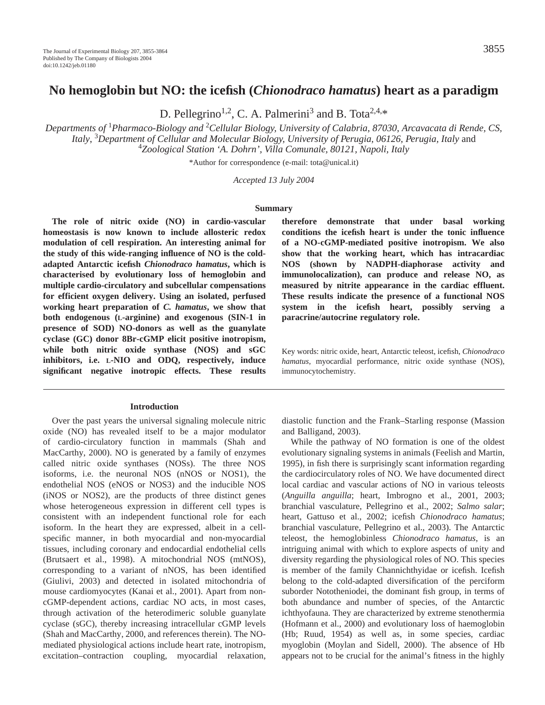# **No hemoglobin but NO: the icefish (***Chionodraco hamatus***) heart as a paradigm**

D. Pellegrino<sup>1,2</sup>, C. A. Palmerini<sup>3</sup> and B. Tota<sup>2,4,\*</sup>

*Departments of* <sup>1</sup> *Pharmaco-Biology and* <sup>2</sup> *Cellular Biology, University of Calabria, 87030, Arcavacata di Rende, CS, Italy*, <sup>3</sup> *Department of Cellular and Molecular Biology, University of Perugia, 06126, Perugia, Italy* and 4 *Zoological Station 'A. Dohrn', Villa Comunale, 80121, Napoli, Italy*

\*Author for correspondence (e-mail: tota@unical.it)

*Accepted 13 July 2004*

#### **Summary**

**The role of nitric oxide (NO) in cardio-vascular homeostasis is now known to include allosteric redox modulation of cell respiration. An interesting animal for the study of this wide-ranging influence of NO is the coldadapted Antarctic icefish** *Chionodraco hamatus***, which is characterised by evolutionary loss of hemoglobin and multiple cardio-circulatory and subcellular compensations for efficient oxygen delivery. Using an isolated, perfused working heart preparation of** *C. hamatus***, we show that both endogenous (L-arginine) and exogenous (SIN-1 in presence of SOD) NO-donors as well as the guanylate cyclase (GC) donor 8Br-cGMP elicit positive inotropism, while both nitric oxide synthase (NOS) and sGC inhibitors, i.e. L-NIO and ODQ, respectively, induce significant negative inotropic effects. These results**

#### **Introduction**

Over the past years the universal signaling molecule nitric oxide (NO) has revealed itself to be a major modulator of cardio-circulatory function in mammals (Shah and MacCarthy, 2000). NO is generated by a family of enzymes called nitric oxide synthases (NOSs). The three NOS isoforms, i.e. the neuronal NOS (nNOS or NOS1), the endothelial NOS (eNOS or NOS3) and the inducible NOS (iNOS or NOS2), are the products of three distinct genes whose heterogeneous expression in different cell types is consistent with an independent functional role for each isoform. In the heart they are expressed, albeit in a cellspecific manner, in both myocardial and non-myocardial tissues, including coronary and endocardial endothelial cells (Brutsaert et al., 1998). A mitochondrial NOS (mtNOS), corresponding to a variant of nNOS, has been identified (Giulivi, 2003) and detected in isolated mitochondria of mouse cardiomyocytes (Kanai et al., 2001). Apart from noncGMP-dependent actions, cardiac NO acts, in most cases, through activation of the heterodimeric soluble guanylate cyclase (sGC), thereby increasing intracellular cGMP levels (Shah and MacCarthy, 2000, and references therein). The NOmediated physiological actions include heart rate, inotropism, excitation–contraction coupling, myocardial relaxation,

**therefore demonstrate that under basal working conditions the icefish heart is under the tonic influence of a NO-cGMP-mediated positive inotropism. We also show that the working heart, which has intracardiac NOS (shown by NADPH-diaphorase activity and immunolocalization), can produce and release NO, as measured by nitrite appearance in the cardiac effluent. These results indicate the presence of a functional NOS system in the icefish heart, possibly serving a paracrine/autocrine regulatory role.**

Key words: nitric oxide, heart, Antarctic teleost, icefish, *Chionodraco hamatus*, myocardial performance, nitric oxide synthase (NOS), immunocytochemistry.

diastolic function and the Frank–Starling response (Massion and Balligand, 2003).

While the pathway of NO formation is one of the oldest evolutionary signaling systems in animals (Feelish and Martin, 1995), in fish there is surprisingly scant information regarding the cardiocirculatory roles of NO. We have documented direct local cardiac and vascular actions of NO in various teleosts (*Anguilla anguilla*; heart, Imbrogno et al., 2001, 2003; branchial vasculature, Pellegrino et al., 2002; *Salmo salar*; heart, Gattuso et al., 2002; icefish *Chionodraco hamatus*; branchial vasculature, Pellegrino et al., 2003). The Antarctic teleost, the hemoglobinless *Chionodraco hamatus*, is an intriguing animal with which to explore aspects of unity and diversity regarding the physiological roles of NO. This species is member of the family Channichthyidae or icefish. Icefish belong to the cold-adapted diversification of the perciform suborder Nototheniodei, the dominant fish group, in terms of both abundance and number of species, of the Antarctic ichthyofauna. They are characterized by extreme stenothermia (Hofmann et al., 2000) and evolutionary loss of haemoglobin (Hb; Ruud, 1954) as well as, in some species, cardiac myoglobin (Moylan and Sidell, 2000). The absence of Hb appears not to be crucial for the animal's fitness in the highly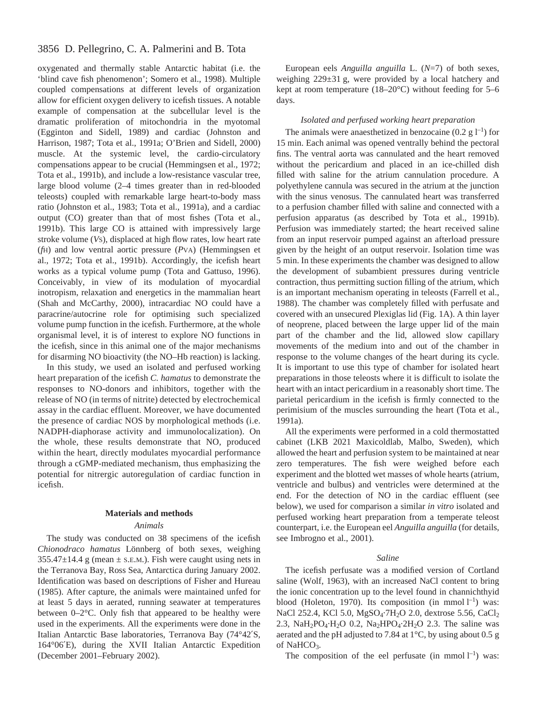## 3856 D. Pellegrino, C. A. Palmerini and B. Tota

oxygenated and thermally stable Antarctic habitat (i.e. the 'blind cave fish phenomenon'; Somero et al., 1998). Multiple coupled compensations at different levels of organization allow for efficient oxygen delivery to icefish tissues. A notable example of compensation at the subcellular level is the dramatic proliferation of mitochondria in the myotomal (Egginton and Sidell, 1989) and cardiac (Johnston and Harrison, 1987; Tota et al., 1991a; O'Brien and Sidell, 2000) muscle. At the systemic level, the cardio-circulatory compensations appear to be crucial (Hemmingsen et al., 1972; Tota et al., 1991b), and include a low-resistance vascular tree, large blood volume (2–4 times greater than in red-blooded teleosts) coupled with remarkable large heart-to-body mass ratio (Johnston et al., 1983; Tota et al., 1991a), and a cardiac output (CO) greater than that of most fishes (Tota et al., 1991b). This large CO is attained with impressively large stroke volume (*V*S), displaced at high flow rates, low heart rate (*f*H) and low ventral aortic pressure (*P*VA) (Hemmingsen et al., 1972; Tota et al., 1991b). Accordingly, the icefish heart works as a typical volume pump (Tota and Gattuso, 1996). Conceivably, in view of its modulation of myocardial inotropism, relaxation and energetics in the mammalian heart (Shah and McCarthy, 2000), intracardiac NO could have a paracrine/autocrine role for optimising such specialized volume pump function in the icefish. Furthermore, at the whole organismal level, it is of interest to explore NO functions in the icefish, since in this animal one of the major mechanisms for disarming NO bioactivity (the NO–Hb reaction) is lacking.

In this study, we used an isolated and perfused working heart preparation of the icefish *C. hamatus* to demonstrate the responses to NO-donors and inhibitors, together with the release of NO (in terms of nitrite) detected by electrochemical assay in the cardiac effluent. Moreover, we have documented the presence of cardiac NOS by morphological methods (i.e. NADPH-diaphorase activity and immunolocalization). On the whole, these results demonstrate that NO, produced within the heart, directly modulates myocardial performance through a cGMP-mediated mechanism, thus emphasizing the potential for nitrergic autoregulation of cardiac function in icefish.

## **Materials and methods**

#### *Animals*

The study was conducted on 38 specimens of the icefish *Chionodraco hamatus* Lönnberg of both sexes, weighing  $355.47 \pm 14.4$  g (mean  $\pm$  s.e.m.). Fish were caught using nets in the Terranova Bay, Ross Sea, Antarctica during January 2002. Identification was based on descriptions of Fisher and Hureau (1985). After capture, the animals were maintained unfed for at least 5 days in aerated, running seawater at temperatures between 0–2°C. Only fish that appeared to be healthy were used in the experiments. All the experiments were done in the Italian Antarctic Base laboratories, Terranova Bay (74°42′S, 164°06′E), during the XVII Italian Antarctic Expedition (December 2001–February 2002).

European eels *Anguilla anguilla* L. (*N*=7) of both sexes, weighing  $229±31$  g, were provided by a local hatchery and kept at room temperature (18–20°C) without feeding for 5–6 days.

## *Isolated and perfused working heart preparation*

The animals were anaesthetized in benzocaine (0.2 g  $l^{-1}$ ) for 15 min. Each animal was opened ventrally behind the pectoral fins. The ventral aorta was cannulated and the heart removed without the pericardium and placed in an ice-chilled dish filled with saline for the atrium cannulation procedure. A polyethylene cannula was secured in the atrium at the junction with the sinus venosus. The cannulated heart was transferred to a perfusion chamber filled with saline and connected with a perfusion apparatus (as described by Tota et al., 1991b). Perfusion was immediately started; the heart received saline from an input reservoir pumped against an afterload pressure given by the height of an output reservoir. Isolation time was 5 min. In these experiments the chamber was designed to allow the development of subambient pressures during ventricle contraction, thus permitting suction filling of the atrium, which is an important mechanism operating in teleosts (Farrell et al., 1988). The chamber was completely filled with perfusate and covered with an unsecured Plexiglas lid (Fig. 1A). A thin layer of neoprene, placed between the large upper lid of the main part of the chamber and the lid, allowed slow capillary movements of the medium into and out of the chamber in response to the volume changes of the heart during its cycle. It is important to use this type of chamber for isolated heart preparations in those teleosts where it is difficult to isolate the heart with an intact pericardium in a reasonably short time. The parietal pericardium in the icefish is firmly connected to the perimisium of the muscles surrounding the heart (Tota et al., 1991a).

All the experiments were performed in a cold thermostatted cabinet (LKB 2021 Maxicoldlab, Malbo, Sweden), which allowed the heart and perfusion system to be maintained at near zero temperatures. The fish were weighed before each experiment and the blotted wet masses of whole hearts (atrium, ventricle and bulbus) and ventricles were determined at the end. For the detection of NO in the cardiac effluent (see below), we used for comparison a similar *in vitro* isolated and perfused working heart preparation from a temperate teleost counterpart, i.e. the European eel *Anguilla anguilla* (for details, see Imbrogno et al., 2001).

### *Saline*

The icefish perfusate was a modified version of Cortland saline (Wolf, 1963), with an increased NaCl content to bring the ionic concentration up to the level found in channichthyid blood (Holeton, 1970). Its composition (in mmol  $l^{-1}$ ) was: NaCl 252.4, KCl 5.0, MgSO<sub>4</sub>.7H<sub>2</sub>O 2.0, dextrose 5.56, CaCl<sub>2</sub> 2.3, NaH<sub>2</sub>PO<sub>4</sub>·H<sub>2</sub>O 0.2, Na<sub>2</sub>HPO<sub>4</sub>·2H<sub>2</sub>O 2.3. The saline was aerated and the pH adjusted to 7.84 at  $1^{\circ}$ C, by using about 0.5 g of NaHCO<sub>3</sub>.

The composition of the eel perfusate (in mmol  $l^{-1}$ ) was: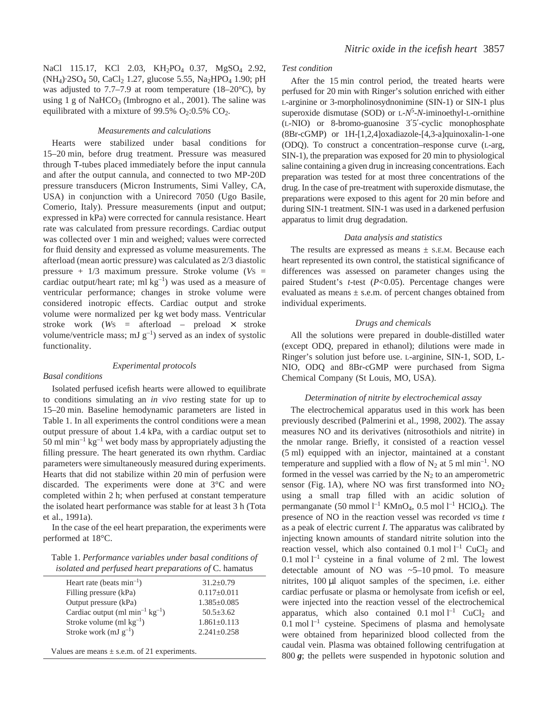NaCl 115.17, KCl 2.03, KH<sub>2</sub>PO<sub>4</sub> 0.37, MgSO<sub>4</sub> 2.92,  $(NH_4)$ ·2SO<sub>4</sub> 50, CaCl<sub>2</sub> 1.27, glucose 5.55, Na<sub>2</sub>HPO<sub>4</sub> 1.90; pH was adjusted to 7.7–7.9 at room temperature (18–20°C), by using 1 g of  $NaHCO<sub>3</sub>$  (Imbrogno et al., 2001). The saline was equilibrated with a mixture of 99.5%  $O_2$ :0.5%  $CO_2$ .

#### *Measurements and calculations*

Hearts were stabilized under basal conditions for 15–20 min, before drug treatment. Pressure was measured through T-tubes placed immediately before the input cannula and after the output cannula, and connected to two MP-20D pressure transducers (Micron Instruments, Simi Valley, CA, USA) in conjunction with a Unirecord 7050 (Ugo Basile, Comerio, Italy). Pressure measurements (input and output; expressed in kPa) were corrected for cannula resistance. Heart rate was calculated from pressure recordings. Cardiac output was collected over 1 min and weighed; values were corrected for fluid density and expressed as volume measurements. The afterload (mean aortic pressure) was calculated as 2/3 diastolic pressure  $+$  1/3 maximum pressure. Stroke volume ( $Vs =$ cardiac output/heart rate; ml  $kg^{-1}$ ) was used as a measure of ventricular performance; changes in stroke volume were considered inotropic effects. Cardiac output and stroke volume were normalized per kg wet body mass. Ventricular stroke work (*Ws* = afterload – preload × stroke volume/ventricle mass; mJ  $g^{-1}$ ) served as an index of systolic functionality.

## *Experimental protocols*

#### *Basal conditions*

Isolated perfused icefish hearts were allowed to equilibrate to conditions simulating an *in vivo* resting state for up to 15–20 min. Baseline hemodynamic parameters are listed in Table 1. In all experiments the control conditions were a mean output pressure of about 1.4 kPa, with a cardiac output set to 50 ml min<sup>-1</sup> kg<sup>-1</sup> wet body mass by appropriately adjusting the filling pressure. The heart generated its own rhythm. Cardiac parameters were simultaneously measured during experiments. Hearts that did not stabilize within 20 min of perfusion were discarded. The experiments were done at 3°C and were completed within 2 h; when perfused at constant temperature the isolated heart performance was stable for at least 3 h (Tota et al., 1991a).

In the case of the eel heart preparation, the experiments were performed at 18°C.

| Table 1. Performance variables under basal conditions of |  |
|----------------------------------------------------------|--|
| isolated and perfused heart preparations of C. hamatus   |  |

| Heart rate (beats $min^{-1}$ )                   | $31.2 + 0.79$     |
|--------------------------------------------------|-------------------|
| Filling pressure (kPa)                           | $0.117+0.011$     |
| Output pressure (kPa)                            | $1.385 \pm 0.085$ |
| Cardiac output (ml min <sup>-1</sup> $kg^{-1}$ ) | $50.5 \pm 3.62$   |
| Stroke volume (ml $kg^{-1}$ )                    | $1.861 \pm 0.113$ |
| Stroke work (mJ $g^{-1}$ )                       | $2.241 + 0.258$   |
|                                                  |                   |

Values are means  $\pm$  s.e.m. of 21 experiments.

## *Test condition*

After the 15 min control period, the treated hearts were perfused for 20 min with Ringer's solution enriched with either L-arginine or 3-morpholinosydnonimine (SIN-1) or SIN-1 plus superoxide dismutase (SOD) or L-*N*<sup>5</sup> -*N*-iminoethyl-L-ornithine (L-NIO) or 8-bromo-guanosine 3′5′-cyclic monophosphate (8Br-cGMP) or 1H-[1,2,4]oxadiazole-[4,3-a]quinoxalin-1-one (ODQ). To construct a concentration–response curve (L-arg, SIN-1), the preparation was exposed for 20 min to physiological saline containing a given drug in increasing concentrations. Each preparation was tested for at most three concentrations of the drug. In the case of pre-treatment with superoxide dismutase, the preparations were exposed to this agent for 20 min before and during SIN-1 treatment. SIN-1 was used in a darkened perfusion apparatus to limit drug degradation.

#### *Data analysis and statistics*

The results are expressed as means  $\pm$  s.E.M. Because each heart represented its own control, the statistical significance of differences was assessed on parameter changes using the paired Student's *t*-test (*P*<0.05). Percentage changes were evaluated as means  $\pm$  s.e.m. of percent changes obtained from individual experiments.

#### *Drugs and chemicals*

All the solutions were prepared in double-distilled water (except ODQ, prepared in ethanol); dilutions were made in Ringer's solution just before use. L-arginine, SIN-1, SOD, L-NIO, ODQ and 8Br-cGMP were purchased from Sigma Chemical Company (St Louis, MO, USA).

#### *Determination of nitrite by electrochemical assay*

The electrochemical apparatus used in this work has been previously described (Palmerini et al., 1998, 2002). The assay measures NO and its derivatives (nitrosothiols and nitrite) in the nmolar range. Briefly, it consisted of a reaction vessel (5·ml) equipped with an injector, maintained at a constant temperature and supplied with a flow of  $N_2$  at 5 ml min<sup>-1</sup>. NO formed in the vessel was carried by the  $N_2$  to an amperometric sensor (Fig. 1A), where NO was first transformed into  $NO<sub>2</sub>$ using a small trap filled with an acidic solution of permanganate (50 mmol  $l^{-1}$  KMnO<sub>4</sub>, 0.5 mol  $l^{-1}$  HClO<sub>4</sub>). The presence of NO in the reaction vessel was recorded *vs* time *t* as a peak of electric current *I*. The apparatus was calibrated by injecting known amounts of standard nitrite solution into the reaction vessel, which also contained 0.1 mol  $l^{-1}$  CuCl<sub>2</sub> and 0.1 mol  $l^{-1}$  cysteine in a final volume of 2 ml. The lowest detectable amount of NO was  $\sim$  5–10 pmol. To measure nitrites,  $100 \mu l$  aliquot samples of the specimen, i.e. either cardiac perfusate or plasma or hemolysate from icefish or eel, were injected into the reaction vessel of the electrochemical apparatus, which also contained  $0.1 \text{ mol } l^{-1}$  CuCl<sub>2</sub> and  $0.1$  mol  $l^{-1}$  cysteine. Specimens of plasma and hemolysate were obtained from heparinized blood collected from the caudal vein. Plasma was obtained following centrifugation at  $800\,\text{g}$ ; the pellets were suspended in hypotonic solution and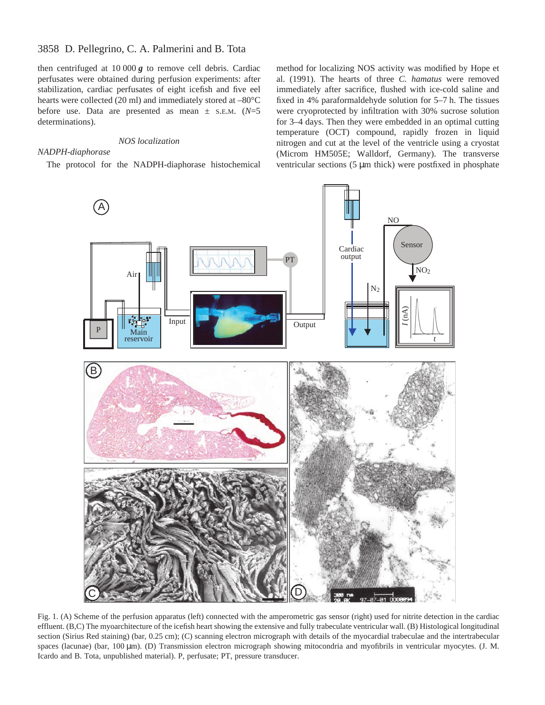## 3858 D. Pellegrino, C. A. Palmerini and B. Tota

then centrifuged at  $10\,000\,g$  to remove cell debris. Cardiac perfusates were obtained during perfusion experiments: after stabilization, cardiac perfusates of eight icefish and five eel hearts were collected (20 ml) and immediately stored at  $-80^{\circ}$ C before use. Data are presented as mean ± S.E.M. (*N*=5 determinations).

## *NOS localization*

## *NADPH-diaphorase*

#### The protocol for the NADPH-diaphorase histochemical

method for localizing NOS activity was modified by Hope et al. (1991). The hearts of three *C. hamatus* were removed immediately after sacrifice, flushed with ice-cold saline and fixed in 4% paraformaldehyde solution for  $5-7$  h. The tissues were cryoprotected by infiltration with 30% sucrose solution for 3–4 days. Then they were embedded in an optimal cutting temperature (OCT) compound, rapidly frozen in liquid nitrogen and cut at the level of the ventricle using a cryostat (Microm HM505E; Walldorf, Germany). The transverse ventricular sections  $(5 \mu m)$  thick) were postfixed in phosphate



Fig. 1. (A) Scheme of the perfusion apparatus (left) connected with the amperometric gas sensor (right) used for nitrite detection in the cardiac effluent. (B,C) The myoarchitecture of the icefish heart showing the extensive and fully trabeculate ventricular wall. (B) Histological longitudinal section (Sirius Red staining) (bar, 0.25 cm); (C) scanning electron micrograph with details of the myocardial trabeculae and the intertrabecular spaces (lacunae) (bar, 100 µm). (D) Transmission electron micrograph showing mitocondria and myofibrils in ventricular myocytes. (J. M. Icardo and B. Tota, unpublished material). P, perfusate; PT, pressure transducer.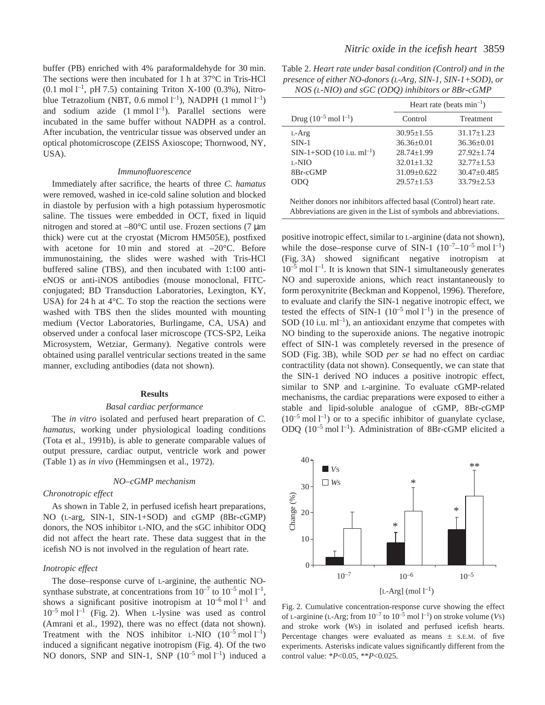buffer (PB) enriched with 4% paraformaldehyde for 30 min. The sections were then incubated for 1 h at  $37^{\circ}$ C in Tris-HCl  $(0.1 \text{ mol } l^{-1}$ , pH 7.5) containing Triton X-100 (0.3%), Nitroblue Tetrazolium (NBT, 0.6 mmol  $l^{-1}$ ), NADPH (1 mmol  $l^{-1}$ ) and sodium azide  $(1 \text{ mmol } l^{-1})$ . Parallel sections were incubated in the same buffer without NADPH as a control. After incubation, the ventricular tissue was observed under an optical photomicroscope (ZEISS Axioscope; Thornwood, NY, USA).

## *Immunofluorescence*

Immediately after sacrifice, the hearts of three *C. hamatus* were removed, washed in ice-cold saline solution and blocked in diastole by perfusion with a high potassium hyperosmotic saline. The tissues were embedded in OCT, fixed in liquid nitrogen and stored at  $-80^{\circ}$ C until use. Frozen sections (7  $\mu$ m thick) were cut at the cryostat (Microm HM505E), postfixed with acetone for 10 min and stored at  $-20^{\circ}$ C. Before immunostaining, the slides were washed with Tris-HCl buffered saline (TBS), and then incubated with 1:100 antieNOS or anti-iNOS antibodies (mouse monoclonal, FITCconjugated; BD Transduction Laboratories, Lexington, KY, USA) for 24 h at  $4^{\circ}$ C. To stop the reaction the sections were washed with TBS then the slides mounted with mounting medium (Vector Laboratories, Burlingame, CA, USA) and observed under a confocal laser microscope (TCS-SP2, Leika Microsystem, Wetziar, Germany). Negative controls were obtained using parallel ventricular sections treated in the same manner, excluding antibodies (data not shown).

#### **Results**

#### *Basal cardiac performance*

The *in vitro* isolated and perfused heart preparation of *C. hamatus*, working under physiological loading conditions (Tota et al., 1991b), is able to generate comparable values of output pressure, cardiac output, ventricle work and power (Table·1) as *in vivo* (Hemmingsen et al., 1972).

#### *NO–cGMP mechanism*

#### *Chronotropic effect*

As shown in Table 2, in perfused icefish heart preparations, NO (L-arg, SIN-1, SIN-1+SOD) and cGMP (8Br-cGMP) donors, the NOS inhibitor L-NIO, and the sGC inhibitor ODQ did not affect the heart rate. These data suggest that in the icefish NO is not involved in the regulation of heart rate.

## *Inotropic effect*

The dose–response curve of L-arginine, the authentic NOsynthase substrate, at concentrations from  $10^{-7}$  to  $10^{-5}$  mol  $1^{-1}$ , shows a significant positive inotropism at  $10^{-6}$  mol  $l^{-1}$  and  $10^{-5}$  mol  $l^{-1}$  (Fig. 2). When L-lysine was used as control (Amrani et al., 1992), there was no effect (data not shown). Treatment with the NOS inhibitor L-NIO  $(10^{-5} \text{ mol } l^{-1})$ induced a significant negative inotropism (Fig. 4). Of the two NO donors, SNP and SIN-1, SNP  $(10^{-5} \text{ mol } l^{-1})$  induced a

Table 2. *Heart rate under basal condition (Control) and in the presence of either NO-donors (L-Arg, SIN-1, SIN-1+SOD), or NOS (L-NIO) and sGC (ODQ) inhibitors or 8Br-cGMP*

|                                      | Heart rate (beats $min^{-1}$ ) |                  |
|--------------------------------------|--------------------------------|------------------|
| Drug $(10^{-5} \text{ mol } l^{-1})$ | Control                        | <b>Treatment</b> |
| $L-Arg$                              | $30.95 + 1.55$                 | $31.17 + 1.23$   |
| $SIN-1$                              | $36.36 + 0.01$                 | $36.36 + 0.01$   |
| $SIM-1+SOD (10 i.u. ml-1)$           | $28.74 + 1.99$                 | $27.92 + 1.74$   |
| L-NIO                                | $32.01 + 1.32$                 | $32.77 + 1.53$   |
| 8Br-cGMP                             | $31.09 \pm 0.622$              | $30.47 + 0.485$  |
| <b>ODO</b>                           | $29.57 + 1.53$                 | $33.79 + 2.53$   |
|                                      |                                |                  |

Neither donors nor inhibitors affected basal (Control) heart rate. Abbreviations are given in the List of symbols and abbreviations.

positive inotropic effect, similar to L-arginine (data not shown), while the dose–response curve of SIN-1  $(10^{-7}-10^{-5} \text{ mol } l^{-1})$ (Fig. 3A) showed significant negative inotropism at  $10^{-5}$  mol  $1^{-1}$ . It is known that SIN-1 simultaneously generates NO and superoxide anions, which react instantaneously to form peroxynitrite (Beckman and Koppenol, 1996). Therefore, to evaluate and clarify the SIN-1 negative inotropic effect, we tested the effects of SIN-1  $(10^{-5} \text{ mol } l^{-1})$  in the presence of SOD (10 i.u.  $ml^{-1}$ ), an antioxidant enzyme that competes with NO binding to the superoxide anions. The negative inotropic effect of SIN-1 was completely reversed in the presence of SOD (Fig. 3B), while SOD *per se* had no effect on cardiac contractility (data not shown). Consequently, we can state that the SIN-1 derived NO induces a positive inotropic effect, similar to SNP and L-arginine. To evaluate cGMP-related mechanisms, the cardiac preparations were exposed to either a stable and lipid-soluble analogue of cGMP, 8Br-cGMP  $(10^{-5} \text{ mol } l^{-1})$  or to a specific inhibitor of guanylate cyclase, ODQ  $(10^{-5} \text{ mol } l^{-1})$ . Administration of 8Br-cGMP elicited a



Fig. 2. Cumulative concentration-response curve showing the effect of L-arginine (L-Arg; from  $10^{-7}$  to  $10^{-5}$  mol  $1^{-1}$ ) on stroke volume (*Vs*) and stroke work (*W*S) in isolated and perfused icefish hearts. Percentage changes were evaluated as means ± S.E.M. of five experiments. Asterisks indicate values significantly different from the control value: \**P*<0.05, \*\**P*<0.025.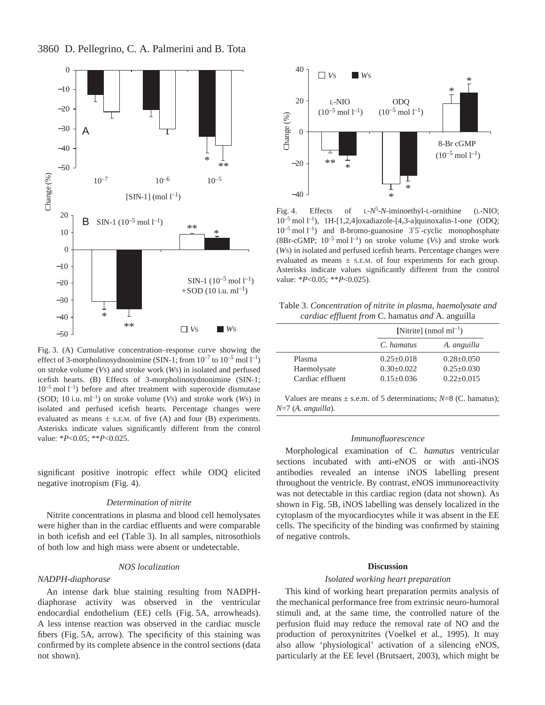



Fig. 3. (A) Cumulative concentration–response curve showing the effect of 3-morpholinosydnonimine (SIN-1; from  $10^{-7}$  to  $10^{-5}$  mol  $1^{-1}$ ) on stroke volume (*V*S) and stroke work (*W*S) in isolated and perfused icefish hearts. (B) Effects of 3-morpholinosydnonimine (SIN-1;  $10^{-5}$  mol  $l^{-1}$ ) before and after treatment with superoxide dismutase (SOD; 10 i.u.  $ml^{-1}$ ) on stroke volume (*Vs*) and stroke work (*Ws*) in isolated and perfused icefish hearts. Percentage changes were evaluated as means  $\pm$  s.e.m. of five (A) and four (B) experiments. Asterisks indicate values significantly different from the control value: \**P*<0.05; \*\**P*<0.025.

significant positive inotropic effect while ODQ elicited negative inotropism (Fig. 4).

#### *Determination of nitrite*

Nitrite concentrations in plasma and blood cell hemolysates were higher than in the cardiac effluents and were comparable in both icefish and eel (Table 3). In all samples, nitrosothiols of both low and high mass were absent or undetectable.

### *NOS localization*

## *NADPH-diaphorase*

An intense dark blue staining resulting from NADPHdiaphorase activity was observed in the ventricular endocardial endothelium (EE) cells (Fig. 5A, arrowheads). A less intense reaction was observed in the cardiac muscle fibers (Fig. 5A, arrow). The specificity of this staining was confirmed by its complete absence in the control sections (data not shown).



Fig. 4. Effects of L-N<sup>5</sup>-N-iminoethyl-L-ornithine (L-NIO;  $10^{-5}$  mol  $1^{-1}$ ), 1H-[1,2,4]oxadiazole-[4,3-a]quinoxalin-1-one (ODQ;  $10^{-5}$  mol  $1^{-1}$ ) and 8-bromo-guanosine 3'5'-cyclic monophosphate  $(8Br\text{-}GMP; 10^{-5} \text{ mol } l^{-1})$  on stroke volume (*Vs*) and stroke work (*W*S) in isolated and perfused icefish hearts. Percentage changes were evaluated as means  $\pm$  s.E.M. of four experiments for each group. Asterisks indicate values significantly different from the control value: \**P*<0.05; \*\**P*<0.025).

Table 3. *Concentration of nitrite in plasma, haemolysate and cardiac effluent from* C. hamatus *and* A. anguilla

|                  | [Nitrite] (nmol $ml^{-1}$ ) |                |  |
|------------------|-----------------------------|----------------|--|
|                  | C. hamatus                  | A. anguilla    |  |
| Plasma           | $0.25 + 0.018$              | $0.28 + 0.050$ |  |
| Haemolysate      | $0.30 + 0.022$              | $0.25 + 0.030$ |  |
| Cardiac effluent | $0.15 + 0.036$              | $0.22+0.015$   |  |

Values are means  $\pm$  s.e.m. of 5 determinations;  $N=8$  (C. hamatus); *N*=7 (*A. anguilla*).

#### *Immunofluorescence*

Morphological examination of *C. hamatus* ventricular sections incubated with anti-eNOS or with anti-iNOS antibodies revealed an intense iNOS labelling present throughout the ventricle. By contrast, eNOS immunoreactivity was not detectable in this cardiac region (data not shown). As shown in Fig. 5B, iNOS labelling was densely localized in the cytoplasm of the myocardiocytes while it was absent in the EE cells. The specificity of the binding was confirmed by staining of negative controls.

#### **Discussion**

#### *Isolated working heart preparation*

This kind of working heart preparation permits analysis of the mechanical performance free from extrinsic neuro-humoral stimuli and, at the same time, the controlled nature of the perfusion fluid may reduce the removal rate of NO and the production of peroxynitrites (Voelkel et al., 1995). It may also allow 'physiological' activation of a silencing eNOS, particularly at the EE level (Brutsaert, 2003), which might be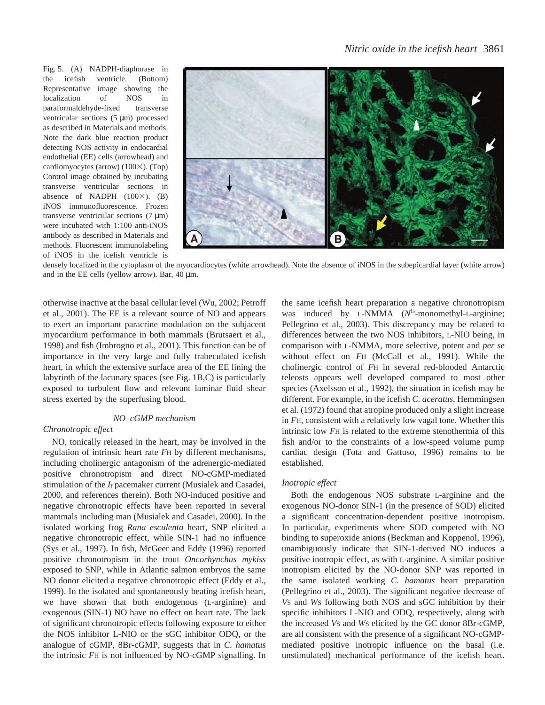Fig. 5. (A) NADPH-diaphorase in the icefish ventricle. (Bottom) Representative image showing the localization of NOS in paraformaldehyde-fixed transverse ventricular sections  $(5 \mu m)$  processed as described in Materials and methods. Note the dark blue reaction product detecting NOS activity in endocardial endothelial (EE) cells (arrowhead) and cardiomyocytes (arrow)  $(100\times)$ . (Top) Control image obtained by incubating transverse ventricular sections in absence of NADPH  $(100\times)$ . (B) iNOS immunofluorescence. Frozen transverse ventricular sections  $(7 \mu m)$ were incubated with 1:100 anti-iNOS antibody as described in Materials and methods. Fluorescent immunolabeling of iNOS in the icefish ventricle is



densely localized in the cytoplasm of the myocardiocytes (white arrowhead). Note the absence of iNOS in the subepicardial layer (white arrow) and in the EE cells (yellow arrow). Bar,  $40 \mu m$ .

otherwise inactive at the basal cellular level (Wu, 2002; Petroff et al., 2001). The EE is a relevant source of NO and appears to exert an important paracrine modulation on the subjacent myocardium performance in both mammals (Brutsaert et al., 1998) and fish (Imbrogno et al., 2001). This function can be of importance in the very large and fully trabeculated icefish heart, in which the extensive surface area of the EE lining the labyrinth of the lacunary spaces (see Fig.  $1B,C$ ) is particularly exposed to turbulent flow and relevant laminar fluid shear stress exerted by the superfusing blood.

#### *NO–cGMP mechanism*

#### *Chronotropic effect*

NO, tonically released in the heart, may be involved in the regulation of intrinsic heart rate *F*H by different mechanisms, including cholinergic antagonism of the adrenergic-mediated positive chronotropism and direct NO-cGMP-mediated stimulation of the *I*<sub>f</sub> pacemaker current (Musialek and Casadei, 2000, and references therein). Both NO-induced positive and negative chronotropic effects have been reported in several mammals including man (Musialek and Casadei, 2000). In the isolated working frog *Rana esculenta* heart, SNP elicited a negative chronotropic effect, while SIN-1 had no influence (Sys et al., 1997). In fish, McGeer and Eddy (1996) reported positive chronotropism in the trout *Oncorhynchus mykiss* exposed to SNP, while in Atlantic salmon embryos the same NO donor elicited a negative chronotropic effect (Eddy et al., 1999). In the isolated and spontaneously beating icefish heart, we have shown that both endogenous (L-arginine) and exogenous (SIN-1) NO have no effect on heart rate. The lack of significant chronotropic effects following exposure to either the NOS inhibitor L-NIO or the sGC inhibitor ODQ, or the analogue of cGMP, 8Br-cGMP, suggests that in *C. hamatus* the intrinsic *F*H is not influenced by NO-cGMP signalling. In

the same icefish heart preparation a negative chronotropism was induced by L-NMMA ( $N<sup>G</sup>$ -monomethyl-L-arginine; Pellegrino et al., 2003). This discrepancy may be related to differences between the two NOS inhibitors, L-NIO being, in comparison with L-NMMA, more selective, potent and *per se* without effect on *F*H (McCall et al., 1991). While the cholinergic control of *F*H in several red-blooded Antarctic teleosts appears well developed compared to most other species (Axelsson et al., 1992), the situation in icefish may be different. For example, in the icefish *C. aceratus*, Hemmingsen et al. (1972) found that atropine produced only a slight increase in *F*H, consistent with a relatively low vagal tone. Whether this intrinsic low *F*H is related to the extreme stenothermia of this fish and/or to the constraints of a low-speed volume pump cardiac design (Tota and Gattuso, 1996) remains to be established.

### *Inotropic effect*

Both the endogenous NOS substrate L-arginine and the exogenous NO-donor SIN-1 (in the presence of SOD) elicited a significant concentration-dependent positive inotropism. In particular, experiments where SOD competed with NO binding to superoxide anions (Beckman and Koppenol, 1996), unambiguously indicate that SIN-1-derived NO induces a positive inotropic effect, as with L-arginine. A similar positive inotropism elicited by the NO-donor SNP was reported in the same isolated working *C. hamatus* heart preparation (Pellegrino et al., 2003). The significant negative decrease of *V*S and *W*S following both NOS and sGC inhibition by their specific inhibitors L-NIO and ODQ, respectively, along with the increased *V*S and *W*S elicited by the GC donor 8Br-cGMP, are all consistent with the presence of a significant NO-cGMPmediated positive inotropic influence on the basal (i.e. unstimulated) mechanical performance of the icefish heart.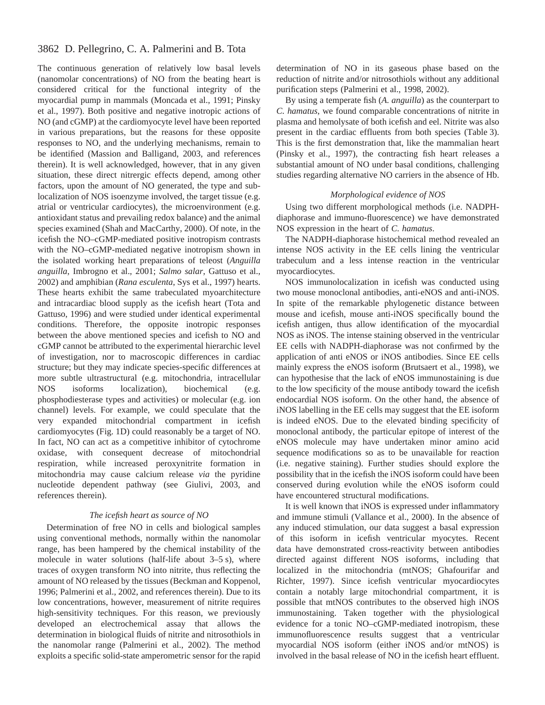## 3862 D. Pellegrino, C. A. Palmerini and B. Tota

The continuous generation of relatively low basal levels (nanomolar concentrations) of NO from the beating heart is considered critical for the functional integrity of the myocardial pump in mammals (Moncada et al., 1991; Pinsky et al., 1997). Both positive and negative inotropic actions of NO (and cGMP) at the cardiomyocyte level have been reported in various preparations, but the reasons for these opposite responses to NO, and the underlying mechanisms, remain to be identified (Massion and Balligand, 2003, and references therein). It is well acknowledged, however, that in any given situation, these direct nitrergic effects depend, among other factors, upon the amount of NO generated, the type and sublocalization of NOS isoenzyme involved, the target tissue (e.g. atrial or ventricular cardiocytes), the microenvironment (e.g. antioxidant status and prevailing redox balance) and the animal species examined (Shah and MacCarthy, 2000). Of note, in the icefish the NO–cGMP-mediated positive inotropism contrasts with the NO–cGMP-mediated negative inotropism shown in the isolated working heart preparations of teleost (*Anguilla anguilla*, Imbrogno et al., 2001; *Salmo salar*, Gattuso et al., 2002) and amphibian (*Rana esculenta*, Sys et al., 1997) hearts. These hearts exhibit the same trabeculated myoarchitecture and intracardiac blood supply as the icefish heart (Tota and Gattuso, 1996) and were studied under identical experimental conditions. Therefore, the opposite inotropic responses between the above mentioned species and icefish to NO and cGMP cannot be attributed to the experimental hierarchic level of investigation, nor to macroscopic differences in cardiac structure; but they may indicate species-specific differences at more subtle ultrastructural (e.g. mitochondria, intracellular NOS isoforms localization), biochemical (e.g. phosphodiesterase types and activities) or molecular (e.g. ion channel) levels. For example, we could speculate that the very expanded mitochondrial compartment in icefish cardiomyocytes (Fig. 1D) could reasonably be a target of NO. In fact, NO can act as a competitive inhibitor of cytochrome oxidase, with consequent decrease of mitochondrial respiration, while increased peroxynitrite formation in mitochondria may cause calcium release *via* the pyridine nucleotide dependent pathway (see Giulivi, 2003, and references therein).

## *The icefish heart as source of NO*

Determination of free NO in cells and biological samples using conventional methods, normally within the nanomolar range, has been hampered by the chemical instability of the molecule in water solutions (half-life about  $3-5$  s), where traces of oxygen transform NO into nitrite, thus reflecting the amount of NO released by the tissues (Beckman and Koppenol, 1996; Palmerini et al., 2002, and references therein). Due to its low concentrations, however, measurement of nitrite requires high-sensitivity techniques. For this reason, we previously developed an electrochemical assay that allows the determination in biological fluids of nitrite and nitrosothiols in the nanomolar range (Palmerini et al., 2002). The method exploits a specific solid-state amperometric sensor for the rapid

determination of NO in its gaseous phase based on the reduction of nitrite and/or nitrosothiols without any additional purification steps (Palmerini et al., 1998, 2002).

By using a temperate fish (*A. anguilla*) as the counterpart to *C. hamatus*, we found comparable concentrations of nitrite in plasma and hemolysate of both icefish and eel. Nitrite was also present in the cardiac effluents from both species (Table 3). This is the first demonstration that, like the mammalian heart (Pinsky et al., 1997), the contracting fish heart releases a substantial amount of NO under basal conditions, challenging studies regarding alternative NO carriers in the absence of Hb.

### *Morphological evidence of NOS*

Using two different morphological methods (i.e. NADPHdiaphorase and immuno-fluorescence) we have demonstrated NOS expression in the heart of *C. hamatus*.

The NADPH-diaphorase histochemical method revealed an intense NOS activity in the EE cells lining the ventricular trabeculum and a less intense reaction in the ventricular myocardiocytes.

NOS immunolocalization in icefish was conducted using two mouse monoclonal antibodies, anti-eNOS and anti-iNOS. In spite of the remarkable phylogenetic distance between mouse and icefish, mouse anti-iNOS specifically bound the icefish antigen, thus allow identification of the myocardial NOS as iNOS. The intense staining observed in the ventricular EE cells with NADPH-diaphorase was not confirmed by the application of anti eNOS or iNOS antibodies. Since EE cells mainly express the eNOS isoform (Brutsaert et al., 1998), we can hypothesise that the lack of eNOS immunostaining is due to the low specificity of the mouse antibody toward the icefish endocardial NOS isoform. On the other hand, the absence of iNOS labelling in the EE cells may suggest that the EE isoform is indeed eNOS. Due to the elevated binding specificity of monoclonal antibody, the particular epitope of interest of the eNOS molecule may have undertaken minor amino acid sequence modifications so as to be unavailable for reaction (i.e. negative staining). Further studies should explore the possibility that in the icefish the iNOS isoform could have been conserved during evolution while the eNOS isoform could have encountered structural modifications.

It is well known that iNOS is expressed under inflammatory and immune stimuli (Vallance et al., 2000). In the absence of any induced stimulation, our data suggest a basal expression of this isoform in icefish ventricular myocytes. Recent data have demonstrated cross-reactivity between antibodies directed against different NOS isoforms, including that localized in the mitochondria (mtNOS; Ghafourifar and Richter, 1997). Since icefish ventricular myocardiocytes contain a notably large mitochondrial compartment, it is possible that mtNOS contributes to the observed high iNOS immunostaining. Taken together with the physiological evidence for a tonic NO–cGMP-mediated inotropism, these immunofluorescence results suggest that a ventricular myocardial NOS isoform (either iNOS and/or mtNOS) is involved in the basal release of NO in the icefish heart effluent.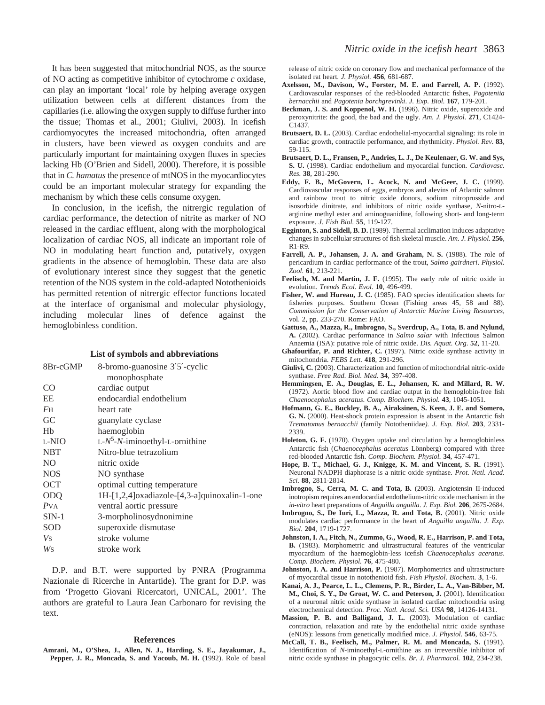It has been suggested that mitochondrial NOS, as the source of NO acting as competitive inhibitor of cytochrome *c* oxidase, can play an important 'local' role by helping average oxygen utilization between cells at different distances from the capillaries (i.e. allowing the oxygen supply to diffuse further into the tissue; Thomas et al., 2001; Giulivi, 2003). In icefish cardiomyocytes the increased mitochondria, often arranged in clusters, have been viewed as oxygen conduits and are particularly important for maintaining oxygen fluxes in species lacking Hb (O'Brien and Sidell, 2000). Therefore, it is possible that in *C. hamatus*the presence of mtNOS in the myocardiocytes could be an important molecular strategy for expanding the mechanism by which these cells consume oxygen.

In conclusion, in the icefish, the nitrergic regulation of cardiac performance, the detection of nitrite as marker of NO released in the cardiac effluent, along with the morphological localization of cardiac NOS, all indicate an important role of NO in modulating heart function and, putatively, oxygen gradients in the absence of hemoglobin. These data are also of evolutionary interest since they suggest that the genetic retention of the NOS system in the cold-adapted Notothenioids has permitted retention of nitrergic effector functions located at the interface of organismal and molecular physiology, including molecular lines of defence against the hemoglobinless condition.

#### **List of symbols and abbreviations**

| 8Br-cGMP       | 8-bromo-guanosine 3'5'-cyclic                |
|----------------|----------------------------------------------|
|                | monophosphate                                |
| C <sub>O</sub> | cardiac output                               |
| EE             | endocardial endothelium                      |
| Fн             | heart rate                                   |
| GC             | guanylate cyclase                            |
| Hb             | haemoglobin                                  |
| L-NIO          | $L-N^5-N$ -iminoethyl-L-ornithine            |
| <b>NBT</b>     | Nitro-blue tetrazolium                       |
| N <sub>O</sub> | nitric oxide                                 |
| <b>NOS</b>     | NO synthase                                  |
| <b>OCT</b>     | optimal cutting temperature                  |
| <b>ODQ</b>     | 1H-[1,2,4]oxadiazole-[4,3-a]quinoxalin-1-one |
| PVA            | ventral aortic pressure                      |
| $SIN-1$        | 3-morpholinosydnonimine                      |
| SOD            | superoxide dismutase                         |
| Vs             | stroke volume                                |
| Ws             | stroke work                                  |
|                |                                              |

D.P. and B.T. were supported by PNRA (Programma Nazionale di Ricerche in Antartide). The grant for D.P. was from 'Progetto Giovani Ricercatori, UNICAL, 2001'. The authors are grateful to Laura Jean Carbonaro for revising the text.

#### **References**

**Amrani, M., O'Shea, J., Allen, N. J., Harding, S. E., Jayakumar, J.,** Pepper, J. R., Moncada, S. and Yacoub, M. H. (1992). Role of basal release of nitric oxide on coronary flow and mechanical performance of the isolated rat heart. *J. Physiol.* **456**, 681-687.

- **Axelsson, M., Davison, W., Forster, M. E. and Farrell, A. P.** (1992). Cardiovascular responses of the red-blooded Antarctic fishes, *Pagoteniia bernacchii* and *Pagotenia borchgrevinki*. *J. Exp. Biol.* **167**, 179-201.
- **Beckman, J. S. and Koppenol, W. H.** (1996). Nitric oxide, superoxide and peroxynitrite: the good, the bad and the ugly. *Am. J. Physiol.* **271**, C1424- C1437.
- **Brutsaert, D. L.** (2003). Cardiac endothelial-myocardial signaling: its role in cardiac growth, contractile performance, and rhythmicity. *Physiol. Rev.* **83**, 59-115.
- **Brutsaert, D. L., Fransen, P., Andries, L. J., De Keulenaer, G. W. and Sys, S. U.** (1998). Cardiac endothelium and myocardial function. *Cardiovasc. Res.* **38**, 281-290.
- **Eddy, F. B., McGovern, L. Acock, N. and McGeer, J. C.** (1999). Cardiovascular responses of eggs, embryos and alevins of Atlantic salmon and rainbow trout to nitric oxide donors, sodium nitroprusside and isosorbide dinitrate, and inhibitors of nitric oxide synthase, *N*-nitro-Larginine methyl ester and aminoguanidine, following short- and long-term exposure. *J. Fish Biol.* **55**, 119-127.
- **Egginton, S. and Sidell, B. D.** (1989). Thermal acclimation induces adaptative changes in subcellular structures of fish skeletal muscle. *Am. J. Physiol.* **256**, R1-R9.
- Farrell, A. P., Johansen, J. A. and Graham, N. S. (1988). The role of pericardium in cardiac performance of the trout, *Salmo gairdneri*. *Physiol. Zool.* **61**, 213-221.
- **Feelisch, M. and Martin, J. F.** (1995). The early role of nitric oxide in evolution. *Trends Ecol. Evol.* **10**, 496-499.
- Fisher, W. and Hureau, J. C. (1985). FAO species identification sheets for fisheries purposes. Southern Ocean (Fishing areas 45, 58 and 88). *Commission for the Conservation of Antarctic Marine Living Resources*, vol. 2, pp. 233-270. Rome: FAO.
- **Gattuso, A., Mazza, R., Imbrogno, S., Sverdrup, A., Tota, B. and Nylund, A.** (2002). Cardiac performance in *Salmo salar* with Infectious Salmon Anaemia (ISA): putative role of nitric oxide. *Dis. Aquat. Org*. **52**, 11-20.
- **Ghafourifar, P. and Richter, C.** (1997). Nitric oxide synthase activity in mitochondria. *FEBS Lett.* **418**, 291-296.
- Giulivi, C. (2003). Characterization and function of mitochondrial nitric-oxide synthase. *Free Rad. Biol. Med.* **34**, 397-408.
- **Hemmingsen, E. A., Douglas, E. L., Johansen, K. and Millard, R. W.** (1972). Aortic blood flow and cardiac output in the hemoglobin-free fish *Chaenocephalus aceratus*. *Comp. Biochem. Physiol.* **43**, 1045-1051.
- **Hofmann, G. E., Buckley, B. A., Airaksinen, S. Keen, J. E. and Somero, G. N.** (2000). Heat-shock protein expression is absent in the Antarctic fish *Trematomus bernacchii* (family Nototheniidae*). J. Exp. Biol.* **203**, 2331- 2339.
- **Holeton, G. F.** (1970). Oxygen uptake and circulation by a hemoglobinless Antarctic fish (*Chaenocephalus aceratus* Lönnberg) compared with three red-blooded Antarctic fish. *Comp. Biochem. Physiol.* **34**, 457-471.
- **Hope, B. T., Michael, G. J., Knigge, K. M. and Vincent, S. R.** (1991). Neuronal NADPH diaphorase is a nitric oxide synthase. *Prot. Natl. Acad. Sci.* **88**, 2811-2814.
- **Imbrogno, S., Cerra, M. C. and Tota, B.** (2003). Angiotensin II-induced inotropism requires an endocardial endothelium-nitric oxide mechanism in the *in-vitro* heart preparations of *Anguilla anguilla*. *J. Exp. Biol.* **206**, 2675-2684.
- Imbrogno, S., De Iuri, L., Mazza, R. and Tota, B. (2001). Nitric oxide modulates cardiac performance in the heart of *Anguilla anguilla*. *J. Exp. Biol.* **204**, 1719-1727.
- **Johnston, I. A., Fitch, N., Zummo, G., Wood, R. E., Harrison, P. and Tota, B.** (1983). Morphometric and ultrastructural features of the ventricular myocardium of the haemoglobin-less icefish *Chaenocephalus aceratus*. *Comp. Biochem. Physiol.* **76**, 475-480.
- **Johnston, I. A. and Harrison, P.** (1987). Morphometrics and ultrastructure of myocardial tissue in notothenioid fish. *Fish Physiol. Biochem.* **3**, 1-6.
- **Kanai, A. J., Pearce, L. L., Clemens, P. R., Birder, L. A., Van-Bibber, M. M., Choi, S. Y., De Groat, W. C. and Peterson, J.** (2001). Identification of a neuronal nitric oxide synthase in isolated cardiac mitochondria using electrochemical detection. *Proc. Natl. Acad. Sci. USA* **98**, 14126-14131.
- Massion, P. B. and Balligand, J. L. (2003). Modulation of cardiac contraction, relaxation and rate by the endothelial nitric oxide synthase (eNOS): lessons from genetically modified mice. *J. Physiol.* **546**, 63-75.
- **McCall, T. B., Feelisch, M., Palmer, R. M. and Moncada, S.** (1991). Identification of *N*-iminoethyl-L-ornithine as an irreversible inhibitor of nitric oxide synthase in phagocytic cells. *Br. J. Pharmacol.* **102**, 234-238.